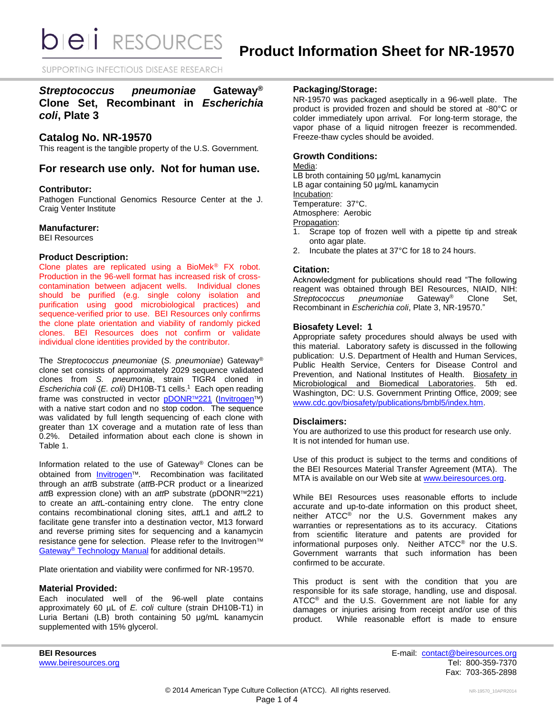SUPPORTING INFECTIOUS DISEASE RESEARCH

# *Streptococcus pneumoniae* **Gateway® Clone Set, Recombinant in** *Escherichia coli***, Plate 3**

## **Catalog No. NR-19570**

This reagent is the tangible property of the U.S. Government.

# **For research use only. Not for human use.**

#### **Contributor:**

Pathogen Functional Genomics Resource Center at the J. Craig Venter Institute

#### **Manufacturer:**

BEI Resources

#### **Product Description:**

Clone plates are replicated using a BioMek® FX robot. Production in the 96-well format has increased risk of crosscontamination between adjacent wells. Individual clones should be purified (e.g. single colony isolation and purification using good microbiological practices) and sequence-verified prior to use. BEI Resources only confirms the clone plate orientation and viability of randomly picked clones. BEI Resources does not confirm or validate individual clone identities provided by the contributor.

The *Streptococcus pneumoniae* (*S. pneumoniae*) Gateway® clone set consists of approximately 2029 sequence validated clones from *S. pneumonia*, strain TIGR4 cloned in *Escherichia coli* (*E. coli*) DH10B-T1 cells. 1 Each open reading frame was constructed in vector [pDONR](http://products.invitrogen.com/ivgn/product/12536017)™221 [\(Invitrogen](http://www.invitrogen.com/site/us/en/home/Products-and-Services/Applications/Cloning/Gateway-Cloning/GatewayC-Misc/Online-Seminars.html)™) with a native start codon and no stop codon. The sequence was validated by full length sequencing of each clone with greater than 1X coverage and a mutation rate of less than 0.2%. Detailed information about each clone is shown in Table 1.

Information related to the use of Gateway® Clones can be obtained from **[Invitrogen](http://www.invitrogen.com/site/us/en/home/Products-and-Services/Applications/Cloning/Gateway-Cloning/GatewayC-Misc/Online-Seminars.html)™**. Recombination was facilitated through an *att*B substrate (*att*B-PCR product or a linearized *att*B expression clone) with an *att*P substrate (pDONR™221) to create an *att*L-containing entry clone. The entry clone contains recombinational cloning sites, *att*L1 and *att*L2 to facilitate gene transfer into a destination vector, M13 forward and reverse priming sites for sequencing and a kanamycin resistance gene for selection. Please refer to the Invitrogen™ Gateway® [Technology Manual](http://tools.invitrogen.com/content/sfs/manuals/gatewayman.pdf) for additional details.

Plate orientation and viability were confirmed for NR-19570.

### **Material Provided:**

Each inoculated well of the 96-well plate contains approximately 60 µL of *E. coli* culture (strain DH10B-T1) in Luria Bertani (LB) broth containing 50 µg/mL kanamycin supplemented with 15% glycerol.

## **Packaging/Storage:**

NR-19570 was packaged aseptically in a 96-well plate. The product is provided frozen and should be stored at -80°C or colder immediately upon arrival. For long-term storage, the vapor phase of a liquid nitrogen freezer is recommended. Freeze-thaw cycles should be avoided.

### **Growth Conditions:**

#### Media:

LB broth containing 50 µg/mL kanamycin LB agar containing 50 µg/mL kanamycin Incubation: Temperature: 37°C. Atmosphere: Aerobic Propagation:

1. Scrape top of frozen well with a pipette tip and streak onto agar plate.

2. Incubate the plates at 37°C for 18 to 24 hours.

#### **Citation:**

Acknowledgment for publications should read "The following reagent was obtained through BEI Resources, NIAID, NIH:<br>Streptococcus pneumoniae Gateway<sup>®</sup> Clone Set, *Streptococcus pneumoniae* Gateway® Clone Set, Recombinant in *Escherichia coli*, Plate 3, NR-19570."

#### **Biosafety Level: 1**

Appropriate safety procedures should always be used with this material. Laboratory safety is discussed in the following publication: U.S. Department of Health and Human Services, Public Health Service, Centers for Disease Control and Prevention, and National Institutes of Health. Biosafety in Microbiological and Biomedical Laboratories. 5th ed. Washington, DC: U.S. Government Printing Office, 2009; see [www.cdc.gov/biosafety/publications/bmbl5/index.htm.](http://www.cdc.gov/biosafety/publications/bmbl5/index.htm)

#### **Disclaimers:**

You are authorized to use this product for research use only. It is not intended for human use.

Use of this product is subject to the terms and conditions of the BEI Resources Material Transfer Agreement (MTA). The MTA is available on our Web site at [www.beiresources.org.](http://www.beiresources.org/)

While BEI Resources uses reasonable efforts to include accurate and up-to-date information on this product sheet, neither ATCC® nor the U.S. Government makes any warranties or representations as to its accuracy. Citations from scientific literature and patents are provided for informational purposes only. Neither ATCC® nor the U.S. Government warrants that such information has been confirmed to be accurate.

This product is sent with the condition that you are responsible for its safe storage, handling, use and disposal. ATCC<sup>®</sup> and the U.S. Government are not liable for any damages or injuries arising from receipt and/or use of this product. While reasonable effort is made to ensure

**BEI Resources** E-mail: [contact@beiresources.org](mailto:contact@beiresources.org) [www.beiresources.org](http://www.beiresources.org/) **Tel: 800-359-7370** Fax: 703-365-2898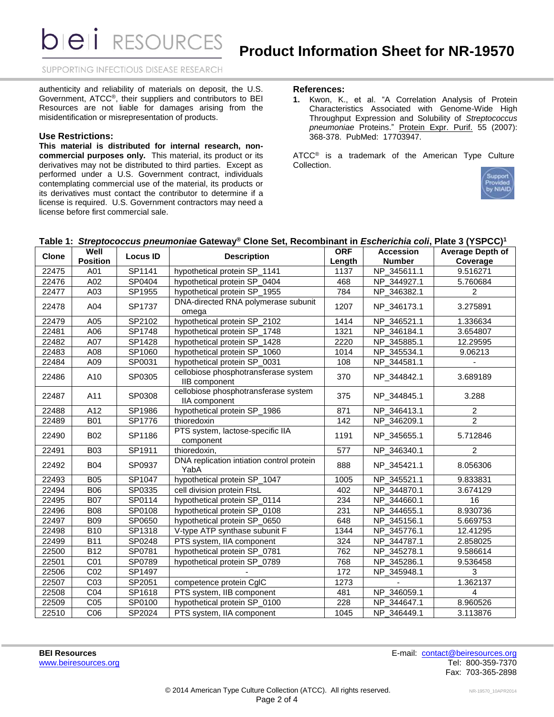**DIEII RESOURCES** 

SUPPORTING INFECTIOUS DISEASE RESEARCH

authenticity and reliability of materials on deposit, the U.S. Government, ATCC®, their suppliers and contributors to BEI Resources are not liable for damages arising from the misidentification or misrepresentation of products.

#### **Use Restrictions:**

**This material is distributed for internal research, noncommercial purposes only.** This material, its product or its derivatives may not be distributed to third parties. Except as performed under a U.S. Government contract, individuals contemplating commercial use of the material, its products or its derivatives must contact the contributor to determine if a license is required. U.S. Government contractors may need a license before first commercial sale.

#### **References:**

**1.** Kwon, K., et al. "A Correlation Analysis of Protein Characteristics Associated with Genome-Wide High Throughput Expression and Solubility of *Streptococcus pneumoniae* Proteins." Protein Expr. Purif. 55 (2007): 368-378. PubMed: 17703947.

ATCC<sup>®</sup> is a trademark of the American Type Culture Collection.



# **Table 1:** *Streptococcus pneumoniae* **Gateway® Clone Set, Recombinant in** *Escherichia coli***, Plate 3 (YSPCC) 1**

| Clone | Well<br><b>Position</b> | <b>Locus ID</b> | <b>Description</b>                                    | <b>ORF</b> | <b>Accession</b> | Average Depth of |
|-------|-------------------------|-----------------|-------------------------------------------------------|------------|------------------|------------------|
|       |                         |                 |                                                       | Length     | <b>Number</b>    | Coverage         |
| 22475 | A01                     | SP1141          | hypothetical protein SP_1141                          | 1137       | NP_345611.1      | 9.516271         |
| 22476 | A02                     | SP0404          | hypothetical protein SP_0404                          | 468        | NP_344927.1      | 5.760684         |
| 22477 | A03                     | SP1955          | hypothetical protein SP_1955                          | 784        | NP_346382.1      | $\mathcal{P}$    |
| 22478 | A04                     | SP1737          | DNA-directed RNA polymerase subunit<br>omega          | 1207       | NP_346173.1      | 3.275891         |
| 22479 | A05                     | SP2102          | hypothetical protein SP_2102                          | 1414       | NP_346521.1      | 1.336634         |
| 22481 | A06                     | SP1748          | hypothetical protein SP_1748                          | 1321       | NP_346184.1      | 3.654807         |
| 22482 | A07                     | SP1428          | hypothetical protein SP_1428                          | 2220       | NP_345885.1      | 12.29595         |
| 22483 | A08                     | SP1060          | hypothetical protein SP_1060                          | 1014       | NP_345534.1      | 9.06213          |
| 22484 | A09                     | SP0031          | hypothetical protein SP_0031                          | 108        | NP_344581.1      |                  |
| 22486 | A10                     | SP0305          | cellobiose phosphotransferase system<br>IIB component | 370        | NP_344842.1      | 3.689189         |
| 22487 | A11                     | SP0308          | cellobiose phosphotransferase system<br>IIA component | 375        | NP_344845.1      | 3.288            |
| 22488 | $\overline{A12}$        | SP1986          | hypothetical protein SP_1986                          | 871        | NP_346413.1      | $\overline{2}$   |
| 22489 | <b>B01</b>              | SP1776          | thioredoxin                                           | 142        | NP_346209.1      | $\overline{2}$   |
| 22490 | <b>B02</b>              | SP1186          | PTS system, lactose-specific IIA<br>component         | 1191       | NP_345655.1      | 5.712846         |
| 22491 | <b>B03</b>              | SP1911          | thioredoxin,                                          | 577        | NP_346340.1      | $\overline{2}$   |
| 22492 | <b>B04</b>              | SP0937          | DNA replication intiation control protein<br>YabA     | 888        | NP_345421.1      | 8.056306         |
| 22493 | <b>B05</b>              | SP1047          | hypothetical protein SP_1047                          | 1005       | NP_345521.1      | 9.833831         |
| 22494 | <b>B06</b>              | SP0335          | cell division protein FtsL                            | 402        | NP_344870.1      | 3.674129         |
| 22495 | <b>B07</b>              | SP0114          | hypothetical protein SP_0114                          | 234        | NP_344660.1      | 16               |
| 22496 | <b>B08</b>              | SP0108          | hypothetical protein SP_0108                          | 231        | NP_344655.1      | 8.930736         |
| 22497 | <b>B09</b>              | SP0650          | hypothetical protein SP_0650                          | 648        | NP_345156.1      | 5.669753         |
| 22498 | <b>B10</b>              | SP1318          | V-type ATP synthase subunit F                         | 1344       | NP_345776.1      | 12.41295         |
| 22499 | <b>B11</b>              | SP0248          | PTS system, IIA component                             | 324        | NP_344787.1      | 2.858025         |
| 22500 | <b>B12</b>              | SP0781          | hypothetical protein SP_0781                          | 762        | NP_345278.1      | 9.586614         |
| 22501 | CO <sub>1</sub>         | SP0789          | hypothetical protein SP_0789                          | 768        | NP_345286.1      | 9.536458         |
| 22506 | CO <sub>2</sub>         | SP1497          |                                                       | 172        | NP_345948.1      | 3                |
| 22507 | CO <sub>3</sub>         | SP2051          | competence protein CglC                               | 1273       |                  | 1.362137         |
| 22508 | CO <sub>4</sub>         | SP1618          | PTS system, IIB component                             | 481        | NP_346059.1      | 4                |
| 22509 | C <sub>05</sub>         | SP0100          | hypothetical protein SP_0100                          | 228        | NP_344647.1      | 8.960526         |
| 22510 | CO6                     | SP2024          | PTS system, IIA component                             | 1045       | NP_346449.1      | 3.113876         |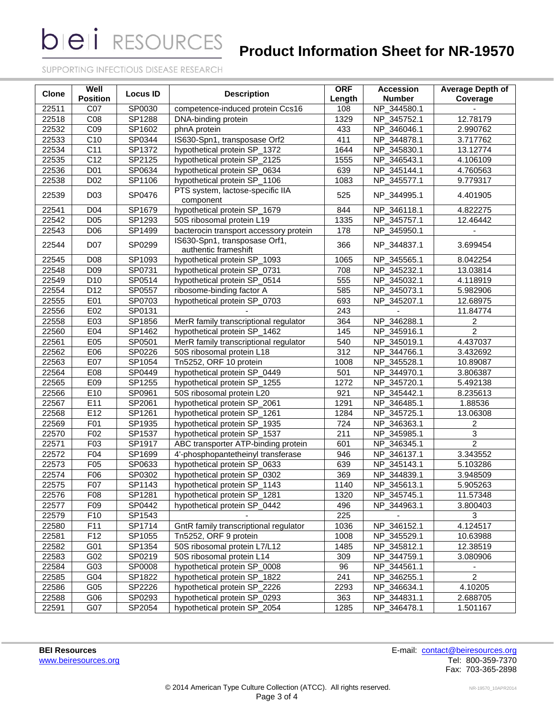**bieli** RESOURCES

# **Product Information Sheet for NR-19570**

SUPPORTING INFECTIOUS DISEASE RESEARCH

| <b>Clone</b> | Well            | <b>Locus ID</b> | <b>Description</b>                                    | <b>ORF</b> | <b>Accession</b> | <b>Average Depth of</b> |
|--------------|-----------------|-----------------|-------------------------------------------------------|------------|------------------|-------------------------|
|              | <b>Position</b> |                 |                                                       | Length     | <b>Number</b>    | Coverage                |
| 22511        | C07             | SP0030          | competence-induced protein Ccs16                      | 108        | NP_344580.1      |                         |
| 22518        | C08             | SP1288          | DNA-binding protein                                   | 1329       | NP 345752.1      | 12.78179                |
| 22532        | CO9             | SP1602          | phnA protein                                          | 433        | NP_346046.1      | 2.990762                |
| 22533        | C <sub>10</sub> | SP0344          | IS630-Spn1, transposase Orf2                          | 411        | NP_344878.1      | 3.717762                |
| 22534        | C <sub>11</sub> | SP1372          | hypothetical protein SP_1372                          | 1644       | NP_345830.1      | 13.12774                |
| 22535        | C12             | SP2125          | hypothetical protein SP_2125                          | 1555       | NP_346543.1      | 4.106109                |
| 22536        | D01             | SP0634          | hypothetical protein SP_0634                          | 639        | NP_345144.1      | 4.760563                |
| 22538        | D <sub>02</sub> | SP1106          | hypothetical protein SP_1106                          | 1083       | NP_345577.1      | 9.779317                |
| 22539        | D <sub>03</sub> | SP0476          | PTS system, lactose-specific IIA<br>component         | 525        | NP_344995.1      | 4.401905                |
| 22541        | D04             | SP1679          | hypothetical protein SP_1679                          | 844        | NP 346118.1      | 4.822275                |
| 22542        | D05             | SP1293          | 50S ribosomal protein L19                             | 1335       | NP_345757.1      | 12.46442                |
| 22543        | D <sub>06</sub> | SP1499          | bacterocin transport accessory protein                | 178        | NP_345950.1      |                         |
| 22544        | D07             | SP0299          | IS630-Spn1, transposase Orf1,<br>authentic frameshift | 366        | NP_344837.1      | 3.699454                |
| 22545        | D08             | SP1093          | hypothetical protein SP_1093                          | 1065       | NP_345565.1      | 8.042254                |
| 22548        | D <sub>09</sub> | SP0731          | hypothetical protein SP_0731                          | 708        | NP_345232.1      | 13.03814                |
| 22549        | D <sub>10</sub> | SP0514          | hypothetical protein SP_0514                          | 555        | NP_345032.1      | 4.118919                |
| 22554        | D12             | SP0557          | ribosome-binding factor A                             | 585        | NP_345073.1      | 5.982906                |
| 22555        | E01             | SP0703          | hypothetical protein SP_0703                          | 693        | NP_345207.1      | 12.68975                |
| 22556        | E02             | SP0131          |                                                       | 243        |                  | 11.84774                |
| 22558        | E03             | SP1856          | MerR family transcriptional regulator                 | 364        | NP_346288.1      | $\overline{c}$          |
| 22560        | E04             | SP1462          | hypothetical protein SP_1462                          | 145        | NP_345916.1      | $\overline{2}$          |
| 22561        | E05             | SP0501          | MerR family transcriptional regulator                 | 540        | NP_345019.1      | 4.437037                |
| 22562        | E06             | SP0226          | 50S ribosomal protein L18                             | 312        | NP_344766.1      | 3.432692                |
| 22563        | E07             | SP1054          | Tn5252, ORF 10 protein                                | 1008       | NP_345528.1      | 10.89087                |
| 22564        | E08             | SP0449          | hypothetical protein SP_0449                          | 501        | NP_344970.1      | 3.806387                |
| 22565        | E09             | SP1255          | hypothetical protein SP_1255                          | 1272       | NP_345720.1      | 5.492138                |
| 22566        | E10             | SP0961          | 50S ribosomal protein L20                             | 921        | NP_345442.1      | 8.235613                |
| 22567        | E11             | SP2061          | hypothetical protein SP_2061                          | 1291       | NP_346485.1      | 1.88536                 |
| 22568        | E12             | SP1261          | hypothetical protein SP_1261                          | 1284       | NP_345725.1      | 13.06308                |
| 22569        | F01             | SP1935          | hypothetical protein SP_1935                          | 724        | NP_346363.1      | $\overline{2}$          |
| 22570        | F02             | SP1537          | hypothetical protein SP_1537                          | 211        | NP_345985.1      | 3                       |
| 22571        | F03             | SP1917          | ABC transporter ATP-binding protein                   | 601        | NP_346345.1      | 2                       |
| 22572        | F04             | SP1699          | 4'-phosphopantetheinyl transferase                    | 946        | NP_346137.1      | 3.343552                |
| 22573        | F05             | SP0633          | hypothetical protein SP_0633                          | 639        | NP_345143.1      | 5.103286                |
| 22574        | F06             | SP0302          | hypothetical protein SP_0302                          | 369        | NP_344839.1      | 3.948509                |
| 22575        | F07             | SP1143          | hypothetical protein SP_1143                          | 1140       | NP_345613.1      | 5.905263                |
| 22576        | F08             | SP1281          | hypothetical protein SP_1281                          | 1320       | NP_345745.1      | 11.57348                |
| 22577        | F09             | SP0442          | hypothetical protein SP_0442                          | 496        | NP_344963.1      | 3.800403                |
| 22579        | F10             | SP1543          |                                                       | 225        | $\blacksquare$   | 3                       |
| 22580        | F11             | SP1714          | GntR family transcriptional regulator                 | 1036       | NP_346152.1      | 4.124517                |
| 22581        | F12             | SP1055          | Tn5252, ORF 9 protein                                 | 1008       | NP_345529.1      | 10.63988                |
| 22582        | G01             | SP1354          | 50S ribosomal protein L7/L12                          | 1485       | NP_345812.1      | 12.38519                |
| 22583        | G02             | SP0219          | 50S ribosomal protein L14                             | 309        | NP_344759.1      | 3.080906                |
| 22584        | G03             | SP0008          | hypothetical protein SP_0008                          | 96         | NP_344561.1      |                         |
| 22585        | G04             | SP1822          | hypothetical protein SP_1822                          | 241        | NP_346255.1      | $\overline{2}$          |
| 22586        | G05             | SP2226          | hypothetical protein SP_2226                          | 2293       | NP_346634.1      | 4.10205                 |
| 22588        | G06             | SP0293          | hypothetical protein SP_0293                          | 363        | NP_344831.1      | 2.688705                |
| 22591        | G07             | SP2054          | hypothetical protein SP_2054                          | 1285       | NP_346478.1      | 1.501167                |

**BEI Resources**<br>
With the intervals of the contact of the contact of the contact of the contact of the contact of the contact of the contact of the contact of the contact of the contact of the contact of the contact of the Fax: 703-365-2898